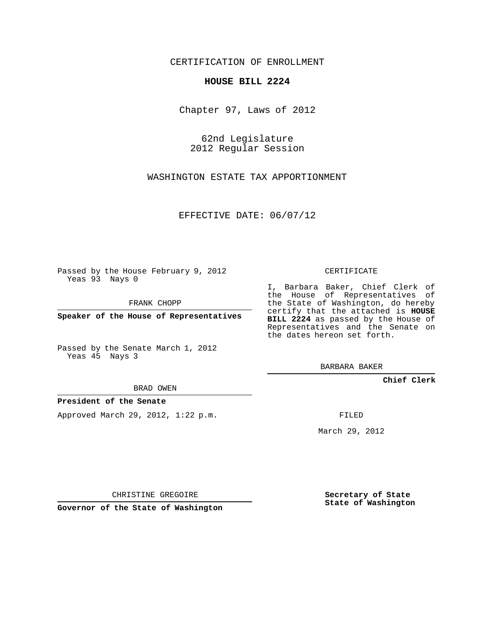CERTIFICATION OF ENROLLMENT

## **HOUSE BILL 2224**

Chapter 97, Laws of 2012

62nd Legislature 2012 Regular Session

WASHINGTON ESTATE TAX APPORTIONMENT

EFFECTIVE DATE: 06/07/12

Passed by the House February 9, 2012 Yeas 93 Nays 0

FRANK CHOPP

**Speaker of the House of Representatives**

Passed by the Senate March 1, 2012 Yeas 45 Nays 3

BRAD OWEN

## **President of the Senate**

Approved March 29, 2012, 1:22 p.m.

CERTIFICATE

I, Barbara Baker, Chief Clerk of the House of Representatives of the State of Washington, do hereby certify that the attached is **HOUSE BILL 2224** as passed by the House of Representatives and the Senate on the dates hereon set forth.

BARBARA BAKER

**Chief Clerk**

FILED

March 29, 2012

CHRISTINE GREGOIRE

**Governor of the State of Washington**

**Secretary of State State of Washington**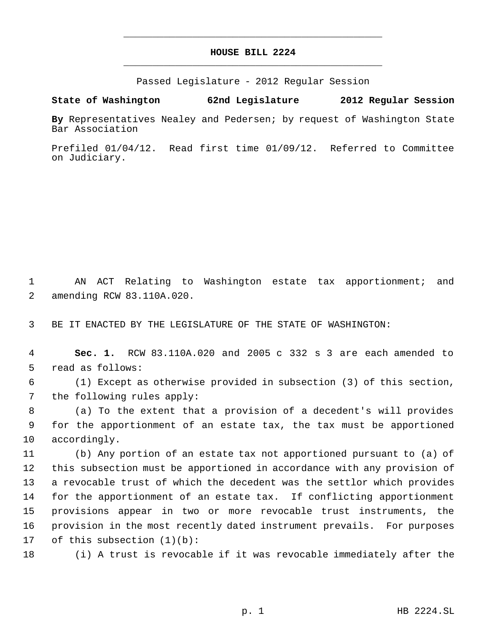## **HOUSE BILL 2224** \_\_\_\_\_\_\_\_\_\_\_\_\_\_\_\_\_\_\_\_\_\_\_\_\_\_\_\_\_\_\_\_\_\_\_\_\_\_\_\_\_\_\_\_\_

\_\_\_\_\_\_\_\_\_\_\_\_\_\_\_\_\_\_\_\_\_\_\_\_\_\_\_\_\_\_\_\_\_\_\_\_\_\_\_\_\_\_\_\_\_

Passed Legislature - 2012 Regular Session

**State of Washington 62nd Legislature 2012 Regular Session**

**By** Representatives Nealey and Pedersen; by request of Washington State Bar Association

Prefiled 01/04/12. Read first time 01/09/12. Referred to Committee on Judiciary.

 AN ACT Relating to Washington estate tax apportionment; and amending RCW 83.110A.020.

BE IT ENACTED BY THE LEGISLATURE OF THE STATE OF WASHINGTON:

 **Sec. 1.** RCW 83.110A.020 and 2005 c 332 s 3 are each amended to read as follows:

 (1) Except as otherwise provided in subsection (3) of this section, the following rules apply:

 (a) To the extent that a provision of a decedent's will provides for the apportionment of an estate tax, the tax must be apportioned accordingly.

 (b) Any portion of an estate tax not apportioned pursuant to (a) of this subsection must be apportioned in accordance with any provision of a revocable trust of which the decedent was the settlor which provides for the apportionment of an estate tax. If conflicting apportionment provisions appear in two or more revocable trust instruments, the provision in the most recently dated instrument prevails. For purposes of this subsection (1)(b):

(i) A trust is revocable if it was revocable immediately after the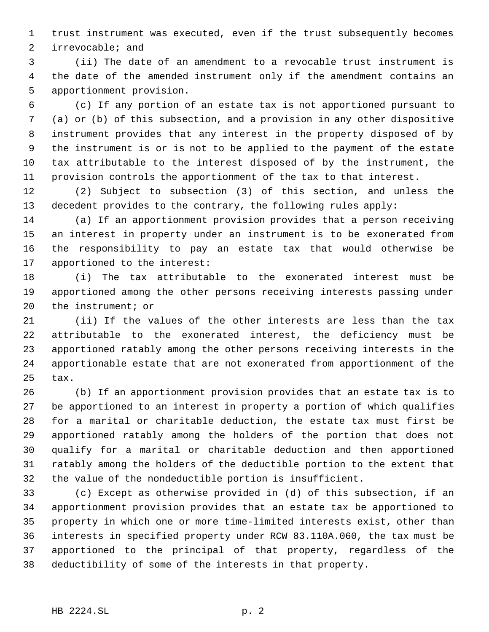trust instrument was executed, even if the trust subsequently becomes irrevocable; and

 (ii) The date of an amendment to a revocable trust instrument is the date of the amended instrument only if the amendment contains an apportionment provision.

 (c) If any portion of an estate tax is not apportioned pursuant to (a) or (b) of this subsection, and a provision in any other dispositive instrument provides that any interest in the property disposed of by the instrument is or is not to be applied to the payment of the estate tax attributable to the interest disposed of by the instrument, the provision controls the apportionment of the tax to that interest.

 (2) Subject to subsection (3) of this section, and unless the decedent provides to the contrary, the following rules apply:

 (a) If an apportionment provision provides that a person receiving an interest in property under an instrument is to be exonerated from the responsibility to pay an estate tax that would otherwise be apportioned to the interest:

 (i) The tax attributable to the exonerated interest must be apportioned among the other persons receiving interests passing under the instrument; or

 (ii) If the values of the other interests are less than the tax attributable to the exonerated interest, the deficiency must be apportioned ratably among the other persons receiving interests in the apportionable estate that are not exonerated from apportionment of the tax.

 (b) If an apportionment provision provides that an estate tax is to be apportioned to an interest in property a portion of which qualifies for a marital or charitable deduction, the estate tax must first be apportioned ratably among the holders of the portion that does not qualify for a marital or charitable deduction and then apportioned ratably among the holders of the deductible portion to the extent that the value of the nondeductible portion is insufficient.

 (c) Except as otherwise provided in (d) of this subsection, if an apportionment provision provides that an estate tax be apportioned to property in which one or more time-limited interests exist, other than interests in specified property under RCW 83.110A.060, the tax must be apportioned to the principal of that property, regardless of the deductibility of some of the interests in that property.

## HB 2224.SL p. 2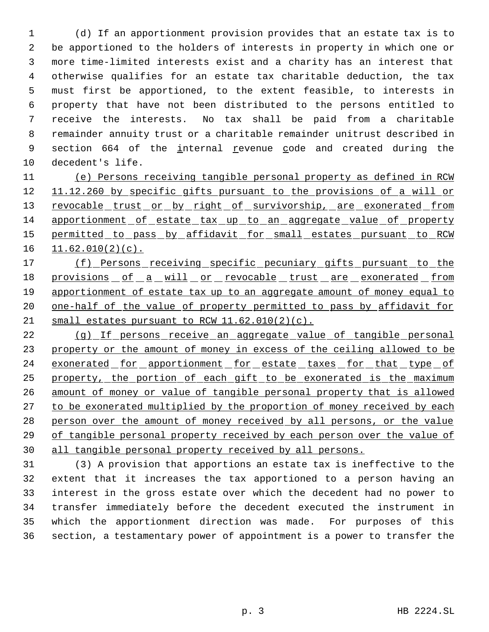(d) If an apportionment provision provides that an estate tax is to be apportioned to the holders of interests in property in which one or more time-limited interests exist and a charity has an interest that otherwise qualifies for an estate tax charitable deduction, the tax must first be apportioned, to the extent feasible, to interests in property that have not been distributed to the persons entitled to receive the interests. No tax shall be paid from a charitable remainder annuity trust or a charitable remainder unitrust described in 9 section 664 of the internal revenue code and created during the decedent's life.

 (e) Persons receiving tangible personal property as defined in RCW 12 11.12.260 by specific gifts pursuant to the provisions of a will or 13 revocable trust or by right of survivorship, are exonerated from 14 apportionment of estate tax up to an aggregate value of property 15 permitted to pass by affidavit for small estates pursuant to RCW  $11.62.010(2)(c)$ .

17 (f) Persons receiving specific pecuniary gifts pursuant to the 18 provisions of a will or revocable trust are exonerated from 19 apportionment of estate tax up to an aggregate amount of money equal to 20 one-half of the value of property permitted to pass by affidavit for 21 small estates pursuant to RCW 11.62.010(2)(c).

 (g) If persons receive an aggregate value of tangible personal property or the amount of money in excess of the ceiling allowed to be 24 exonerated for apportionment for estate taxes for that type of 25 property, the portion of each gift to be exonerated is the maximum amount of money or value of tangible personal property that is allowed 27 to be exonerated multiplied by the proportion of money received by each person over the amount of money received by all persons, or the value of tangible personal property received by each person over the value of all tangible personal property received by all persons.

 (3) A provision that apportions an estate tax is ineffective to the extent that it increases the tax apportioned to a person having an interest in the gross estate over which the decedent had no power to transfer immediately before the decedent executed the instrument in which the apportionment direction was made. For purposes of this section, a testamentary power of appointment is a power to transfer the